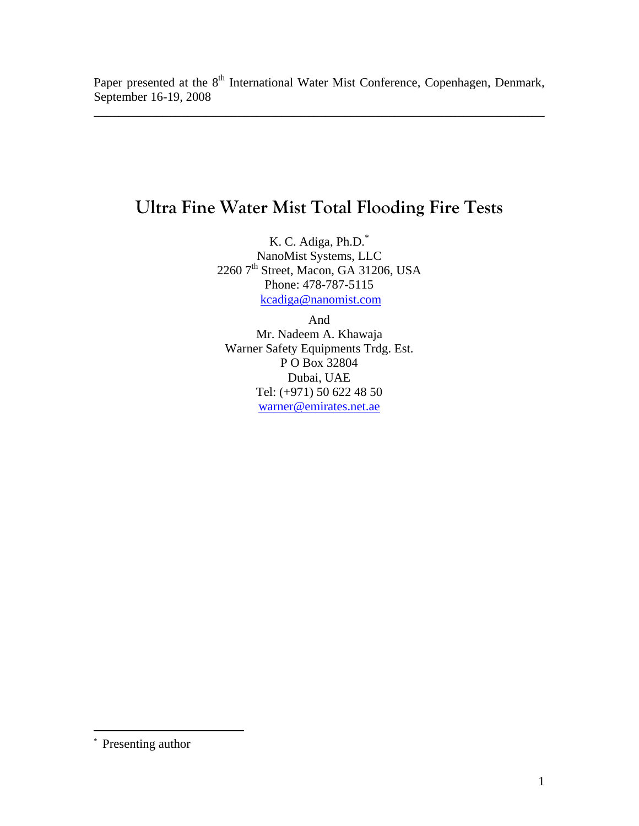\_\_\_\_\_\_\_\_\_\_\_\_\_\_\_\_\_\_\_\_\_\_\_\_\_\_\_\_\_\_\_\_\_\_\_\_\_\_\_\_\_\_\_\_\_\_\_\_\_\_\_\_\_\_\_\_\_\_\_\_\_\_\_\_\_\_\_\_\_\_\_\_

# **Ultra Fine Water Mist Total Flooding Fire Tests**

K. C. Adiga, Ph.D.\* NanoMist Systems, LLC 2260 7<sup>th</sup> Street, Macon, GA 31206, USA Phone: 478-787-5115 kcadiga@nanomist.com

And

Mr. Nadeem A. Khawaja Warner Safety Equipments Trdg. Est. P O Box 32804 Dubai, UAE Tel: (+971) 50 622 48 50 warner@emirates.net.ae

 $\overline{a}$ 

<sup>\*</sup> Presenting author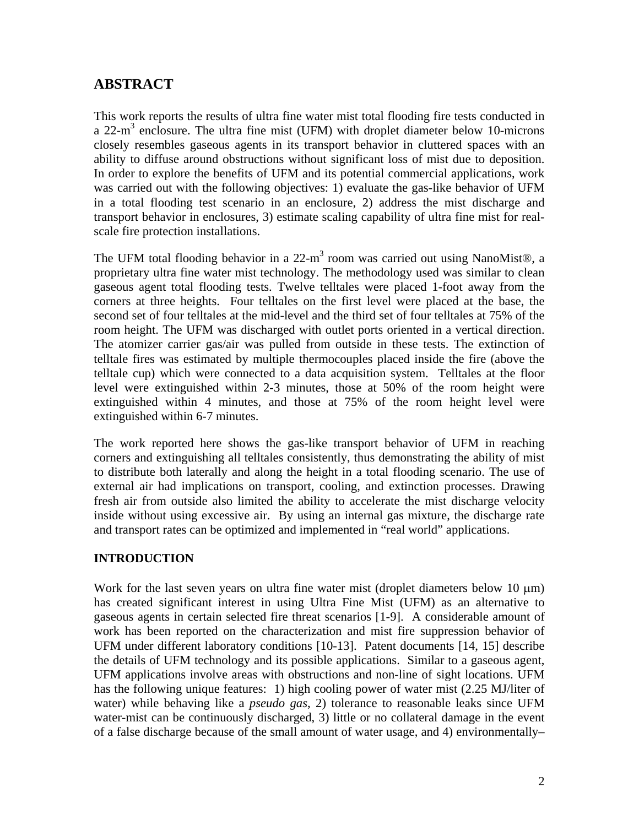# **ABSTRACT**

This work reports the results of ultra fine water mist total flooding fire tests conducted in a 22- $m<sup>3</sup>$  enclosure. The ultra fine mist (UFM) with droplet diameter below 10-microns closely resembles gaseous agents in its transport behavior in cluttered spaces with an ability to diffuse around obstructions without significant loss of mist due to deposition. In order to explore the benefits of UFM and its potential commercial applications, work was carried out with the following objectives: 1) evaluate the gas-like behavior of UFM in a total flooding test scenario in an enclosure, 2) address the mist discharge and transport behavior in enclosures, 3) estimate scaling capability of ultra fine mist for realscale fire protection installations.

The UFM total flooding behavior in a  $22-m^3$  room was carried out using NanoMist®, a proprietary ultra fine water mist technology. The methodology used was similar to clean gaseous agent total flooding tests. Twelve telltales were placed 1-foot away from the corners at three heights. Four telltales on the first level were placed at the base, the second set of four telltales at the mid-level and the third set of four telltales at 75% of the room height. The UFM was discharged with outlet ports oriented in a vertical direction. The atomizer carrier gas/air was pulled from outside in these tests. The extinction of telltale fires was estimated by multiple thermocouples placed inside the fire (above the telltale cup) which were connected to a data acquisition system. Telltales at the floor level were extinguished within 2-3 minutes, those at 50% of the room height were extinguished within 4 minutes, and those at 75% of the room height level were extinguished within 6-7 minutes.

The work reported here shows the gas-like transport behavior of UFM in reaching corners and extinguishing all telltales consistently, thus demonstrating the ability of mist to distribute both laterally and along the height in a total flooding scenario. The use of external air had implications on transport, cooling, and extinction processes. Drawing fresh air from outside also limited the ability to accelerate the mist discharge velocity inside without using excessive air. By using an internal gas mixture, the discharge rate and transport rates can be optimized and implemented in "real world" applications.

## **INTRODUCTION**

Work for the last seven years on ultra fine water mist (droplet diameters below 10 μm) has created significant interest in using Ultra Fine Mist (UFM) as an alternative to gaseous agents in certain selected fire threat scenarios [1-9]. A considerable amount of work has been reported on the characterization and mist fire suppression behavior of UFM under different laboratory conditions [10-13]. Patent documents [14, 15] describe the details of UFM technology and its possible applications. Similar to a gaseous agent, UFM applications involve areas with obstructions and non-line of sight locations. UFM has the following unique features: 1) high cooling power of water mist (2.25 MJ/liter of water) while behaving like a *pseudo gas*, 2) tolerance to reasonable leaks since UFM water-mist can be continuously discharged, 3) little or no collateral damage in the event of a false discharge because of the small amount of water usage, and 4) environmentally–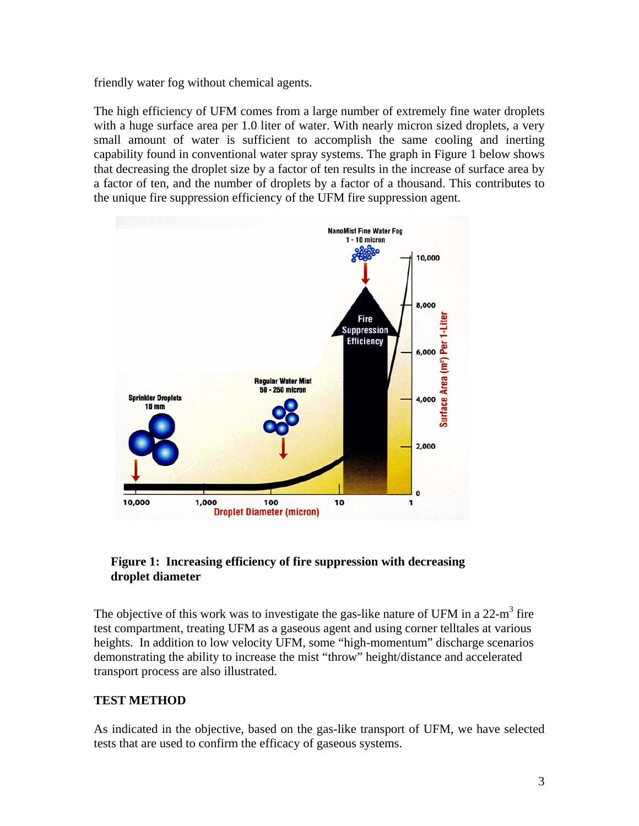friendly water fog without chemical agents.

The high efficiency of UFM comes from a large number of extremely fine water droplets with a huge surface area per 1.0 liter of water. With nearly micron sized droplets, a very small amount of water is sufficient to accomplish the same cooling and inerting capability found in conventional water spray systems. The graph in Figure 1 below shows that decreasing the droplet size by a factor of ten results in the increase of surface area by a factor of ten, and the number of droplets by a factor of a thousand. This contributes to the unique fire suppression efficiency of the UFM fire suppression agent.



## **Figure 1: Increasing efficiency of fire suppression with decreasing droplet diameter**

The objective of this work was to investigate the gas-like nature of UFM in a  $22-m<sup>3</sup>$  fire test compartment, treating UFM as a gaseous agent and using corner telltales at various heights. In addition to low velocity UFM, some "high-momentum" discharge scenarios demonstrating the ability to increase the mist "throw" height/distance and accelerated transport process are also illustrated.

## **TEST METHOD**

As indicated in the objective, based on the gas-like transport of UFM, we have selected tests that are used to confirm the efficacy of gaseous systems.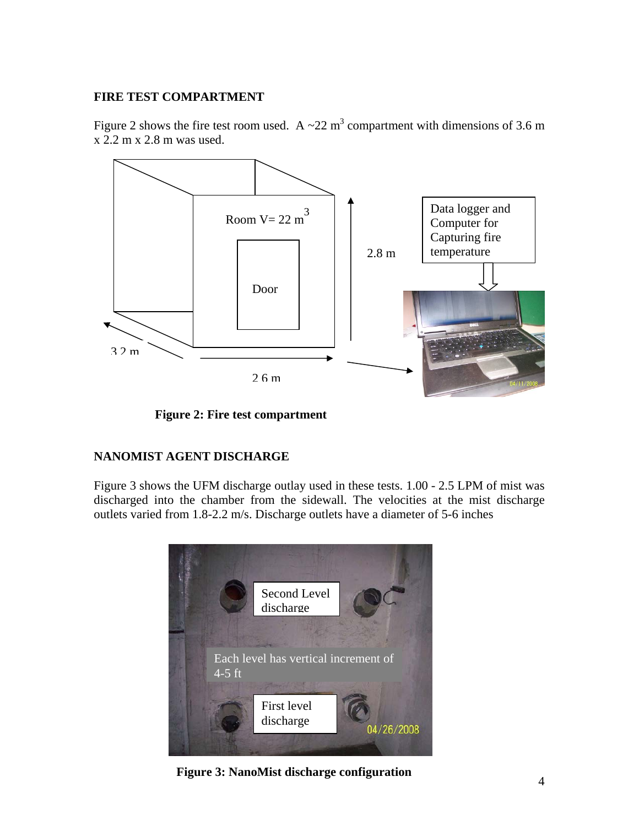#### **FIRE TEST COMPARTMENT**

Figure 2 shows the fire test room used. A  $\sim$  22 m<sup>3</sup> compartment with dimensions of 3.6 m x 2.2 m x 2.8 m was used.



**Figure 2: Fire test compartment** 

## **NANOMIST AGENT DISCHARGE**

Figure 3 shows the UFM discharge outlay used in these tests. 1.00 - 2.5 LPM of mist was discharged into the chamber from the sidewall. The velocities at the mist discharge outlets varied from 1.8-2.2 m/s. Discharge outlets have a diameter of 5-6 inches



**Figure 3: NanoMist discharge configuration**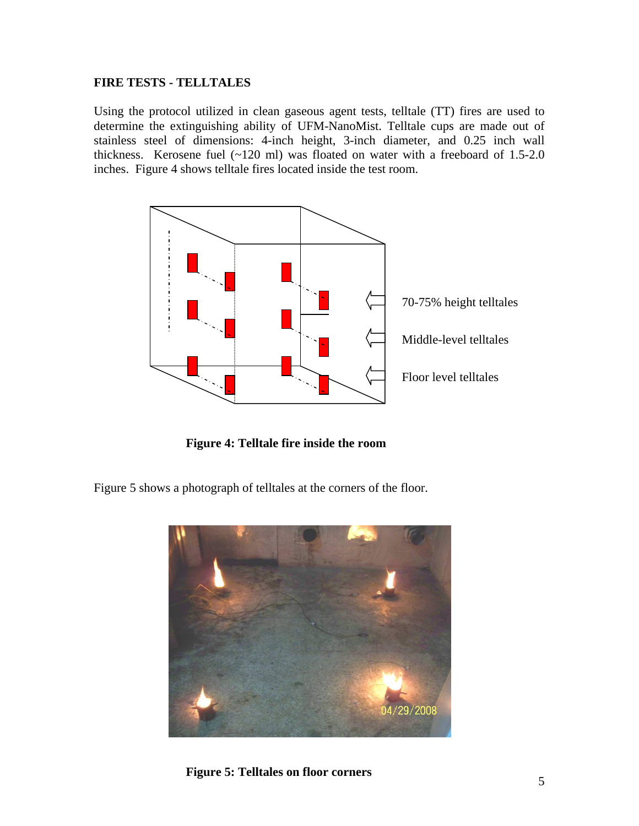#### **FIRE TESTS - TELLTALES**

Using the protocol utilized in clean gaseous agent tests, telltale (TT) fires are used to determine the extinguishing ability of UFM-NanoMist. Telltale cups are made out of stainless steel of dimensions: 4-inch height, 3-inch diameter, and 0.25 inch wall thickness. Kerosene fuel  $(-120 \text{ ml})$  was floated on water with a freeboard of 1.5-2.0 inches. Figure 4 shows telltale fires located inside the test room.



**Figure 4: Telltale fire inside the room** 

Figure 5 shows a photograph of telltales at the corners of the floor.



**Figure 5: Telltales on floor corners**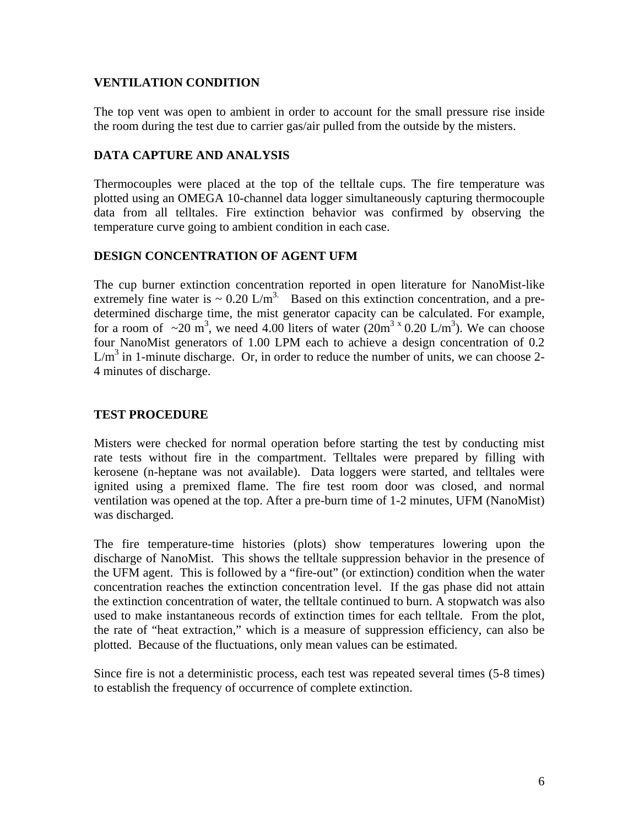#### **VENTILATION CONDITION**

The top vent was open to ambient in order to account for the small pressure rise inside the room during the test due to carrier gas/air pulled from the outside by the misters.

#### **DATA CAPTURE AND ANALYSIS**

Thermocouples were placed at the top of the telltale cups. The fire temperature was plotted using an OMEGA 10-channel data logger simultaneously capturing thermocouple data from all telltales. Fire extinction behavior was confirmed by observing the temperature curve going to ambient condition in each case.

#### **DESIGN CONCENTRATION OF AGENT UFM**

The cup burner extinction concentration reported in open literature for NanoMist-like extremely fine water is  $\sim 0.20$  L/m<sup>3.</sup> Based on this extinction concentration, and a predetermined discharge time, the mist generator capacity can be calculated. For example, for a room of  $\sim 20 \text{ m}^3$ , we need 4.00 liters of water  $(20 \text{ m}^3 \times 0.20 \text{ L/m}^3)$ . We can choose four NanoMist generators of 1.00 LPM each to achieve a design concentration of 0.2  $L/m<sup>3</sup>$  in 1-minute discharge. Or, in order to reduce the number of units, we can choose 2-4 minutes of discharge.

#### **TEST PROCEDURE**

Misters were checked for normal operation before starting the test by conducting mist rate tests without fire in the compartment. Telltales were prepared by filling with kerosene (n-heptane was not available). Data loggers were started, and telltales were ignited using a premixed flame. The fire test room door was closed, and normal ventilation was opened at the top. After a pre-burn time of 1-2 minutes, UFM (NanoMist) was discharged.

The fire temperature-time histories (plots) show temperatures lowering upon the discharge of NanoMist. This shows the telltale suppression behavior in the presence of the UFM agent. This is followed by a "fire-out" (or extinction) condition when the water concentration reaches the extinction concentration level. If the gas phase did not attain the extinction concentration of water, the telltale continued to burn. A stopwatch was also used to make instantaneous records of extinction times for each telltale. From the plot, the rate of "heat extraction," which is a measure of suppression efficiency, can also be plotted. Because of the fluctuations, only mean values can be estimated.

Since fire is not a deterministic process, each test was repeated several times (5-8 times) to establish the frequency of occurrence of complete extinction.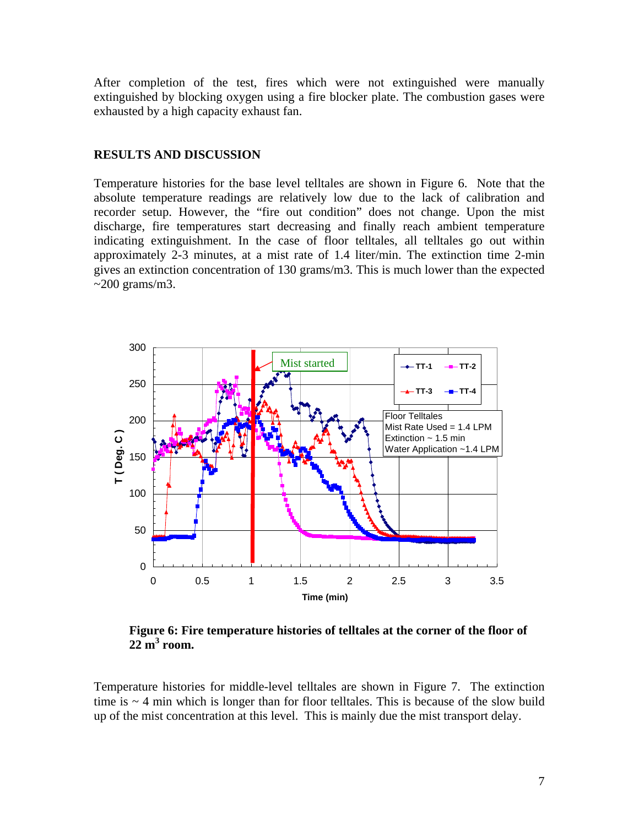After completion of the test, fires which were not extinguished were manually extinguished by blocking oxygen using a fire blocker plate. The combustion gases were exhausted by a high capacity exhaust fan.

#### **RESULTS AND DISCUSSION**

Temperature histories for the base level telltales are shown in Figure 6. Note that the absolute temperature readings are relatively low due to the lack of calibration and recorder setup. However, the "fire out condition" does not change. Upon the mist discharge, fire temperatures start decreasing and finally reach ambient temperature indicating extinguishment. In the case of floor telltales, all telltales go out within approximately 2-3 minutes, at a mist rate of 1.4 liter/min. The extinction time 2-min gives an extinction concentration of 130 grams/m3. This is much lower than the expected  $\sim$ 200 grams/m3.



**Figure 6: Fire temperature histories of telltales at the corner of the floor of 22 m<sup>3</sup> room.** 

Temperature histories for middle-level telltales are shown in Figure 7. The extinction time is  $\sim$  4 min which is longer than for floor telltales. This is because of the slow build up of the mist concentration at this level. This is mainly due the mist transport delay.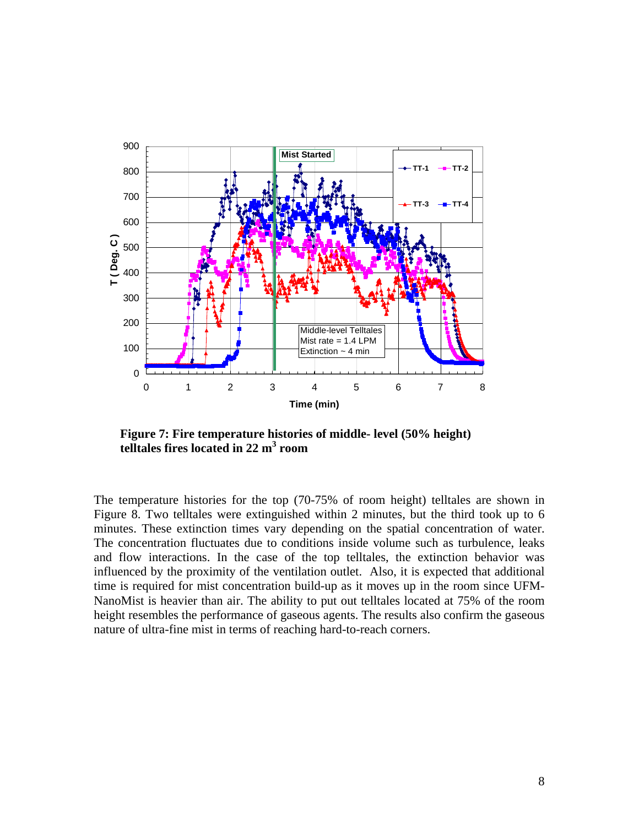

**Figure 7: Fire temperature histories of middle- level (50% height) telltales fires located in 22 m<sup>3</sup> room** 

The temperature histories for the top (70-75% of room height) telltales are shown in Figure 8. Two telltales were extinguished within 2 minutes, but the third took up to 6 minutes. These extinction times vary depending on the spatial concentration of water. The concentration fluctuates due to conditions inside volume such as turbulence, leaks and flow interactions. In the case of the top telltales, the extinction behavior was influenced by the proximity of the ventilation outlet. Also, it is expected that additional time is required for mist concentration build-up as it moves up in the room since UFM-NanoMist is heavier than air. The ability to put out telltales located at 75% of the room height resembles the performance of gaseous agents. The results also confirm the gaseous nature of ultra-fine mist in terms of reaching hard-to-reach corners.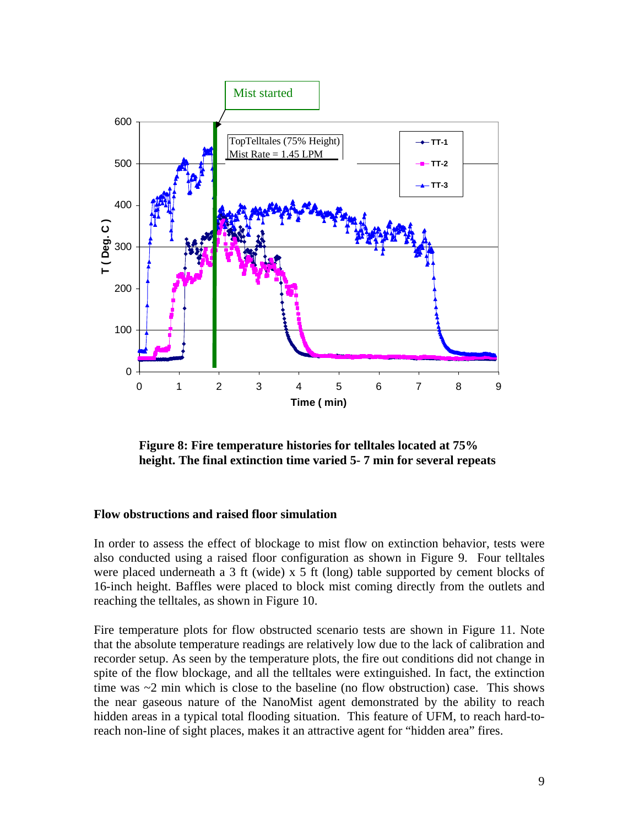

**Figure 8: Fire temperature histories for telltales located at 75% height. The final extinction time varied 5- 7 min for several repeats** 

#### **Flow obstructions and raised floor simulation**

In order to assess the effect of blockage to mist flow on extinction behavior, tests were also conducted using a raised floor configuration as shown in Figure 9. Four telltales were placed underneath a 3 ft (wide) x 5 ft (long) table supported by cement blocks of 16-inch height. Baffles were placed to block mist coming directly from the outlets and reaching the telltales, as shown in Figure 10.

Fire temperature plots for flow obstructed scenario tests are shown in Figure 11. Note that the absolute temperature readings are relatively low due to the lack of calibration and recorder setup. As seen by the temperature plots, the fire out conditions did not change in spite of the flow blockage, and all the telltales were extinguished. In fact, the extinction time was  $\sim$ 2 min which is close to the baseline (no flow obstruction) case. This shows the near gaseous nature of the NanoMist agent demonstrated by the ability to reach hidden areas in a typical total flooding situation. This feature of UFM, to reach hard-toreach non-line of sight places, makes it an attractive agent for "hidden area" fires.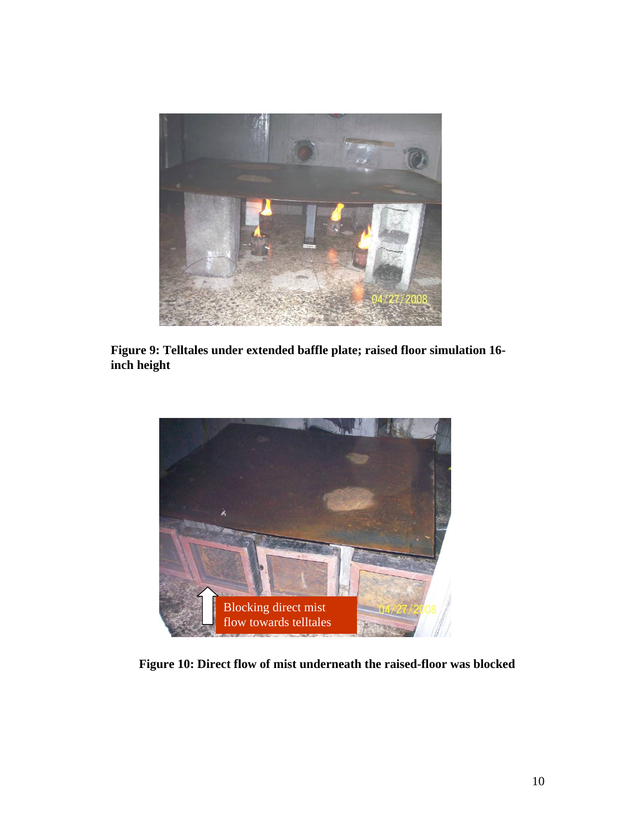

**Figure 9: Telltales under extended baffle plate; raised floor simulation 16 inch height** 



**Figure 10: Direct flow of mist underneath the raised-floor was blocked**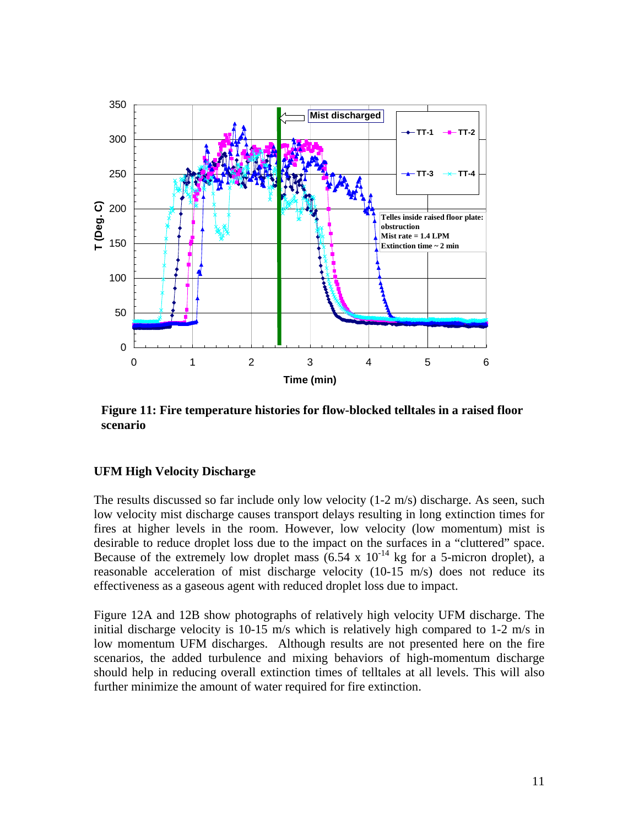

**Figure 11: Fire temperature histories for flow-blocked telltales in a raised floor scenario** 

## **UFM High Velocity Discharge**

The results discussed so far include only low velocity (1-2 m/s) discharge. As seen, such low velocity mist discharge causes transport delays resulting in long extinction times for fires at higher levels in the room. However, low velocity (low momentum) mist is desirable to reduce droplet loss due to the impact on the surfaces in a "cluttered" space. Because of the extremely low droplet mass  $(6.54 \times 10^{-14} \text{ kg}$  for a 5-micron droplet), a reasonable acceleration of mist discharge velocity (10-15 m/s) does not reduce its effectiveness as a gaseous agent with reduced droplet loss due to impact.

Figure 12A and 12B show photographs of relatively high velocity UFM discharge. The initial discharge velocity is  $10{\text -}15$  m/s which is relatively high compared to  $1{\text -}2$  m/s in low momentum UFM discharges. Although results are not presented here on the fire scenarios, the added turbulence and mixing behaviors of high-momentum discharge should help in reducing overall extinction times of telltales at all levels. This will also further minimize the amount of water required for fire extinction.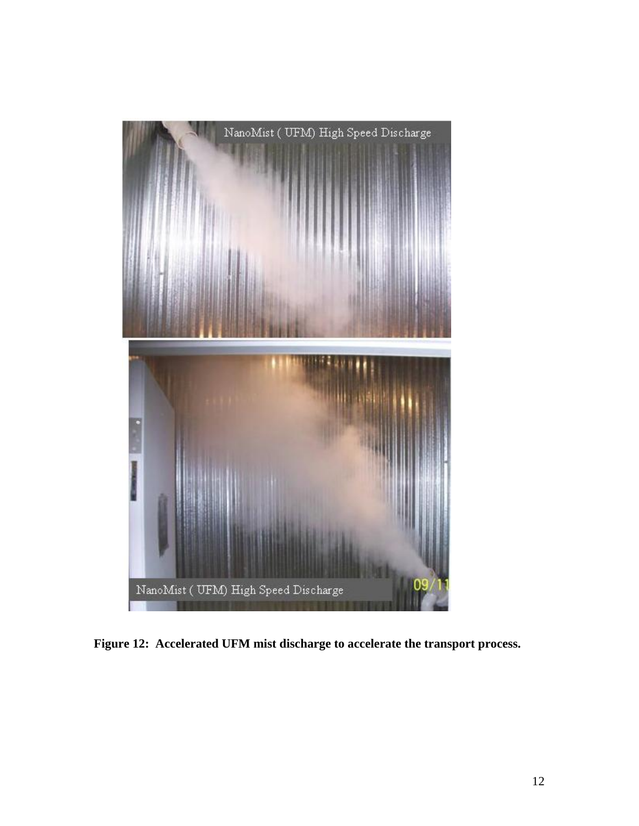

**Figure 12: Accelerated UFM mist discharge to accelerate the transport process.**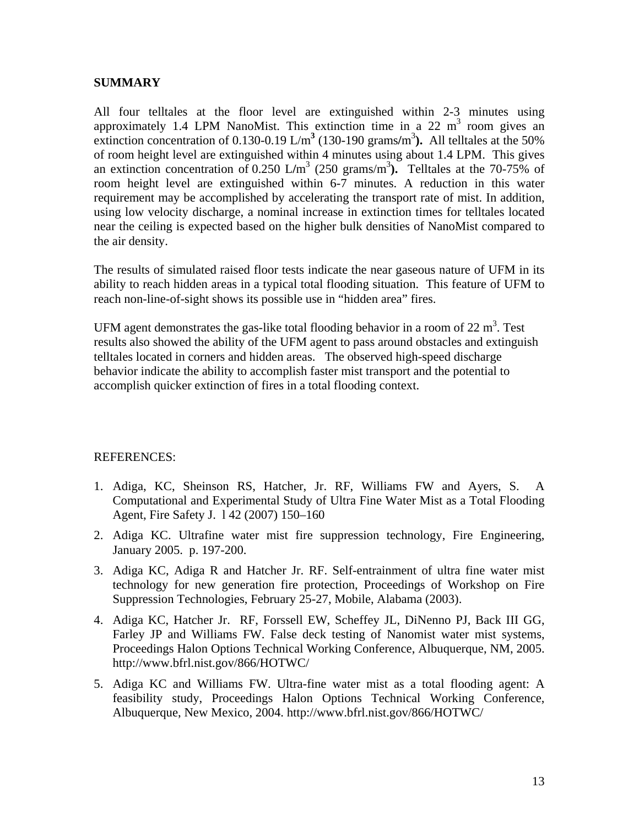#### **SUMMARY**

All four telltales at the floor level are extinguished within 2-3 minutes using approximately 1.4 LPM NanoMist. This extinction time in a 22  $m<sup>3</sup>$  room gives an extinction concentration of 0.130-0.19  $\text{L/m}^3$  (130-190 grams/m<sup>3</sup>). All telltales at the 50% of room height level are extinguished within 4 minutes using about 1.4 LPM. This gives an extinction concentration of  $0.250$  L/m<sup>3</sup> (250 grams/m<sup>3</sup>). Telltales at the 70-75% of room height level are extinguished within 6-7 minutes. A reduction in this water requirement may be accomplished by accelerating the transport rate of mist. In addition, using low velocity discharge, a nominal increase in extinction times for telltales located near the ceiling is expected based on the higher bulk densities of NanoMist compared to the air density.

The results of simulated raised floor tests indicate the near gaseous nature of UFM in its ability to reach hidden areas in a typical total flooding situation. This feature of UFM to reach non-line-of-sight shows its possible use in "hidden area" fires.

UFM agent demonstrates the gas-like total flooding behavior in a room of 22  $m<sup>3</sup>$ . Test results also showed the ability of the UFM agent to pass around obstacles and extinguish telltales located in corners and hidden areas. The observed high-speed discharge behavior indicate the ability to accomplish faster mist transport and the potential to accomplish quicker extinction of fires in a total flooding context.

#### REFERENCES:

- 1. Adiga, KC, Sheinson RS, Hatcher, Jr. RF, Williams FW and Ayers, S. A Computational and Experimental Study of Ultra Fine Water Mist as a Total Flooding Agent, Fire Safety J. l 42 (2007) 150–160
- 2. Adiga KC. Ultrafine water mist fire suppression technology, Fire Engineering, January 2005. p. 197-200.
- 3. Adiga KC, Adiga R and Hatcher Jr. RF. Self-entrainment of ultra fine water mist technology for new generation fire protection, Proceedings of Workshop on Fire Suppression Technologies, February 25-27, Mobile, Alabama (2003).
- 4. Adiga KC, Hatcher Jr. RF, Forssell EW, Scheffey JL, DiNenno PJ, Back III GG, Farley JP and Williams FW. False deck testing of Nanomist water mist systems, Proceedings Halon Options Technical Working Conference, Albuquerque, NM, 2005. http://www.bfrl.nist.gov/866/HOTWC/
- 5. Adiga KC and Williams FW. Ultra-fine water mist as a total flooding agent: A feasibility study, Proceedings Halon Options Technical Working Conference, Albuquerque, New Mexico, 2004. http://www.bfrl.nist.gov/866/HOTWC/